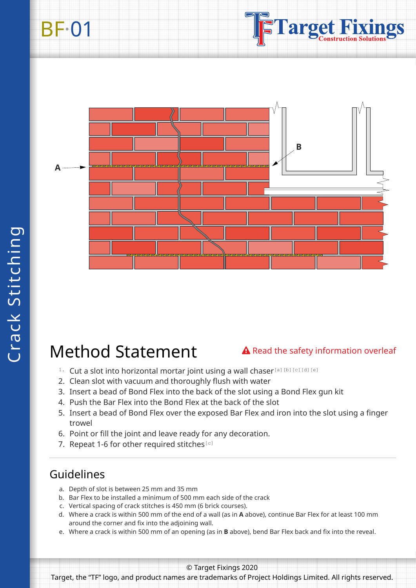## BF·01





## Method Statement

#### **△** Read the safety information overleaf

- 1. Cut a slot into horizontal mortar joint using a wall chaser[a][b][c][d][e]
- 2. Clean slot with vacuum and thoroughly flush with water
- 3. Insert a bead of Bond Flex into the back of the slot using a Bond Flex gun kit
- 4. Push the Bar Flex into the Bond Flex at the back of the slot
- 5. Insert a bead of Bond Flex over the exposed Bar Flex and iron into the slot using a finger trowel
- 6. Point or fill the joint and leave ready for any decoration.
- 7. Repeat 1-6 for other required stitches $[<sup>c</sup>]$

### Guidelines

- a. Depth of slot is between 25 mm and 35 mm
- b. Bar Flex to be installed a minimum of 500 mm each side of the crack
- c. Vertical spacing of crack stitches is 450 mm (6 brick courses).
- d. Where a crack is within 500 mm of the end of a wall (as in **A** above), continue Bar Flex for at least 100 mm around the corner and fix into the adjoining wall.
- e. Where a crack is within 500 mm of an opening (as in **B** above), bend Bar Flex back and fix into the reveal.

© Target Fixings 2020

Target, the "TF" logo, and product names are trademarks of Project Holdings Limited. All rights reserved.